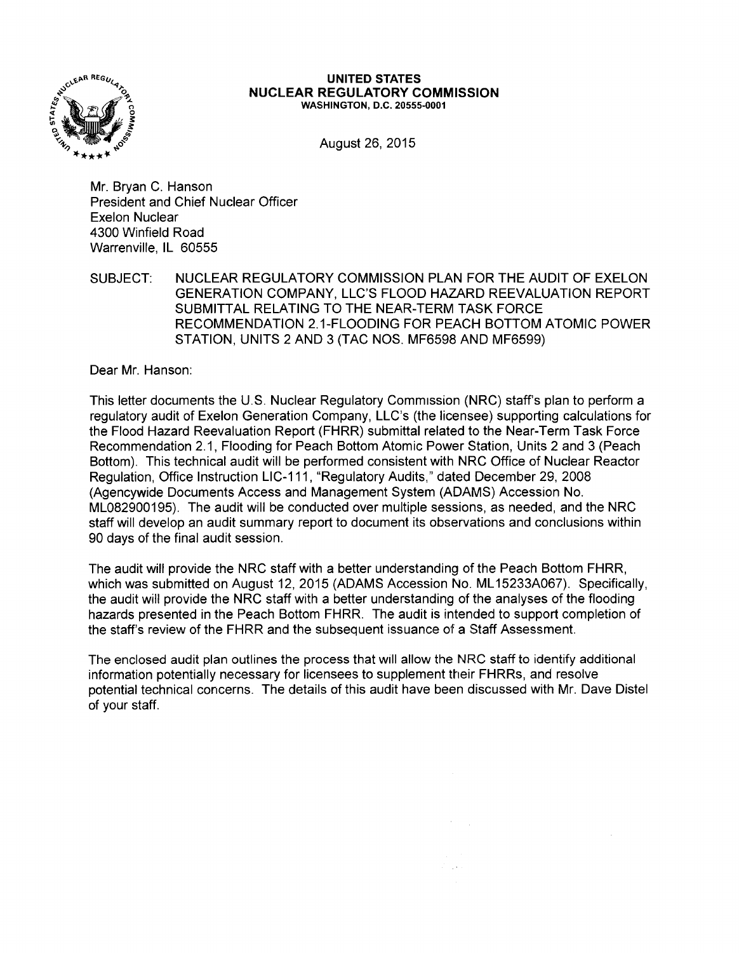

#### **UNITED STATES NUCLEAR REGULATORY COMMISSION**  WASHINGTON, D.C. 20555-0001

August 26, 2015

Mr. Bryan C. Hanson President and Chief Nuclear Officer Exelon Nuclear 4300 Winfield Road Warrenville, IL 60555

SUBJECT: NUCLEAR REGULATORY COMMISSION PLAN FOR THE AUDIT OF EXELON GENERATION COMPANY, LLC'S FLOOD HAZARD REEVALUATION REPORT SUBMITTAL RELATING TO THE NEAR-TERM TASK FORCE RECOMMENDATION 2.1-FLOODING FOR PEACH BOTTOM ATOMIC POWER STATION, UNITS 2 AND 3 (TAC NOS. MF6598 AND MF6599)

Dear Mr. Hanson:

This letter documents the U.S. Nuclear Regulatory Commission (NRC) staff's plan to perform a regulatory audit of Exelon Generation Company, LLC's (the licensee) supporting calculations for the Flood Hazard Reevaluation Report (FHRR) submittal related to the Near-Term Task Force Recommendation 2.1, Flooding for Peach Bottom Atomic Power Station, Units 2 and 3 (Peach Bottom). This technical audit will be performed consistent with NRC Office of Nuclear Reactor Regulation, Office Instruction LIC-111, "Regulatory Audits,'' dated December 29, 2008 (Agencywide Documents Access and Management System (ADAMS) Accession No. ML082900195). The audit will be conducted over multiple sessions, as needed, and the NRC staff will develop an audit summary report to document its observations and conclusions within 90 days of the final audit session.

The audit will provide the NRC staff with a better understanding of the Peach Bottom FHRR, which was submitted on August 12, 2015 (ADAMS Accession No. ML15233A067). Specifically, the audit will provide the NRC staff with a better understanding of the analyses of the flooding hazards presented in the Peach Bottom FHRR. The audit is intended to support completion of the staff's review of the FHRR and the subsequent issuance of a Staff Assessment.

The enclosed audit plan outlines the process that will allow the NRC staff to identify additional information potentially necessary for licensees to supplement tbeir FHRRs, and resolve potential technical concerns. The details of this audit have been discussed with Mr. Dave Distel of your staff.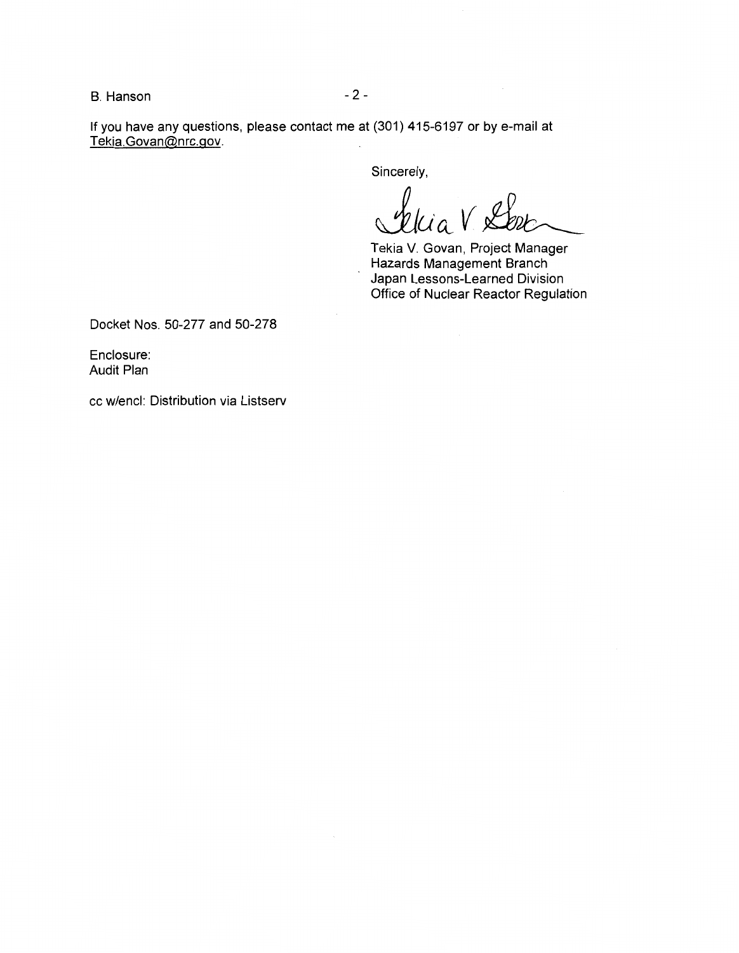B. Hanson - 2 -

If you have any questions, please contact me at (301) 415-6197 or by e-mail at Tekia.Govan@nrc.gov.

Sincerely,

Ua

Tekia V. Govan, Project Manager Hazards Management Branch Japan Lessons-Learned Division Office of Nuclear Reactor Regulation

Docket Nos. 50-277 and 50-278

Enclosure: Audit Plan

cc w/encl: Distribution via Listserv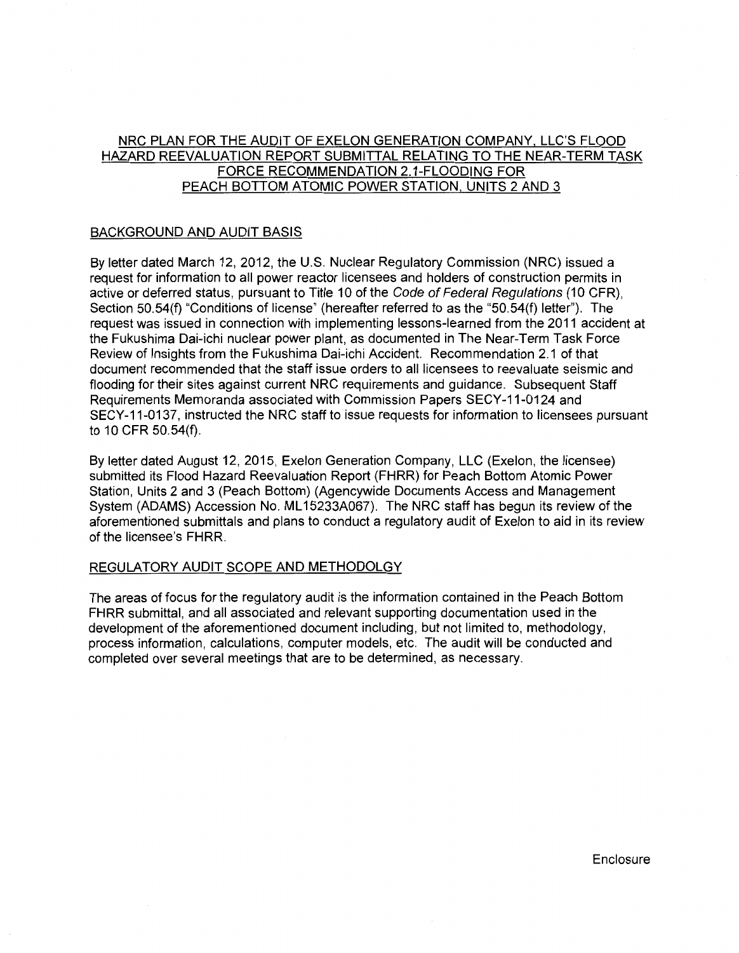# NRC PLAN FOR THE AUDIT OF EXELON GENERATION COMPANY. LLC'S FLOOD HAZARD REEVALUATION REPORT SUBMITTAL RELATING TO THE NEAR-TERM TASK FORCE RECOMMENDATION 2.1-FLOODING FOR PEACH BOTTOM ATOMIC POWER STATION. UNITS 2 AND 3

# BACKGROUND AND AUDIT BASIS

By letter dated March 12, 2012, the U.S. Nuclear Regulatory Commission (NRC) issued a request for information to all power reactor licensees and holders of construction permits in active or deferred status, pursuant to Title 10 of the Code of Federal Regulations (10 CFR), Section 50.54(f) "Conditions of license" (hereafter referred to as the "50.54(f) letter"). The request was issued in connection with implementing lessons-learned from the 2011 accident at the Fukushima Dai-ichi nuclear power plant, as documented in The Near-Term Task Force Review of Insights from the Fukushima Dai-ichi Accident. Recommendation 2.1 of that document recommended that the staff issue orders to all licensees to reevaluate seismic and flooding for their sites against current NRC requirements and guidance. Subsequent Staff Requirements Memoranda associated with Commission Papers SECY-11-0124 and SECY-11-0137, instructed the NRC staff to issue requests for information to licensees pursuant to 10 CFR 50.54(f).

By letter dated August 12, 2015, Exelon Generation Company, LLC (Exelon, the licensee) submitted its Flood Hazard Reevaluation Report (FHRR) for Peach Bottom Atomic Power Station, Units 2 and 3 (Peach Bottom) (Agencywide Documents Access and Management System (ADAMS) Accession No. ML 15233A067). The NRC staff has begun its review of the aforementioned submittals and plans to conduct a regulatory audit of Exelon to aid in its review of the licensee's FHRR.

## REGULATORY AUDIT SCOPE AND METHODOLGY

The areas of focus for the regulatory audit is the information contained in the Peach Bottom FHRR submittal, and all associated and relevant supporting documentation used in the development of the aforementioned document including, but not limited to, methodology, process information, calculations, computer models, etc. The audit will be conducted and completed over several meetings that are to be determined, as necessary.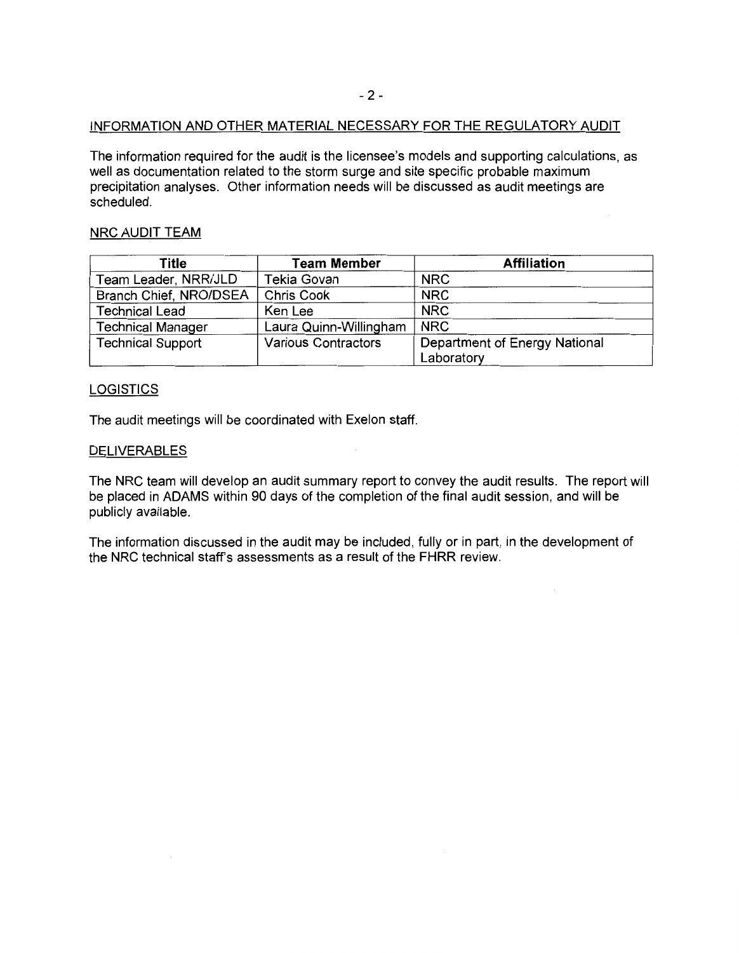## INFORMATION AND OTHER MATERIAL NECESSARY FOR THE REGULATORY AUDIT

The information required for the audit is the licensee's models and supporting calculations, as well as documentation related to the storm surge and site specific probable maximum precipitation analyses. Other information needs will be discussed as audit meetings are scheduled.

## NRC AUDIT TEAM

| Title                    | <b>Team Member</b>         | <b>Affiliation</b>            |  |
|--------------------------|----------------------------|-------------------------------|--|
| Team Leader, NRR/JLD     | Tekia Govan                | <b>NRC</b>                    |  |
| Branch Chief, NRO/DSEA   | <b>Chris Cook</b>          | <b>NRC</b>                    |  |
| <b>Technical Lead</b>    | Ken Lee                    | <b>NRC</b>                    |  |
| <b>Technical Manager</b> | Laura Quinn-Willingham     | <b>NRC</b>                    |  |
| <b>Technical Support</b> | <b>Various Contractors</b> | Department of Energy National |  |
|                          |                            | Laboratory                    |  |

## **LOGISTICS**

The audit meetings will be coordinated with Exelon staff.

## DELIVERABLES

The NRC team will develop an audit summary report to convey the audit results. The report will be placed in ADAMS within 90 days of the completion of the final audit session, and will be publicly available.

The information discussed in the audit may be included, fully or in part, in the development of the NRC technical staff's assessments as a result of the FHRR review.